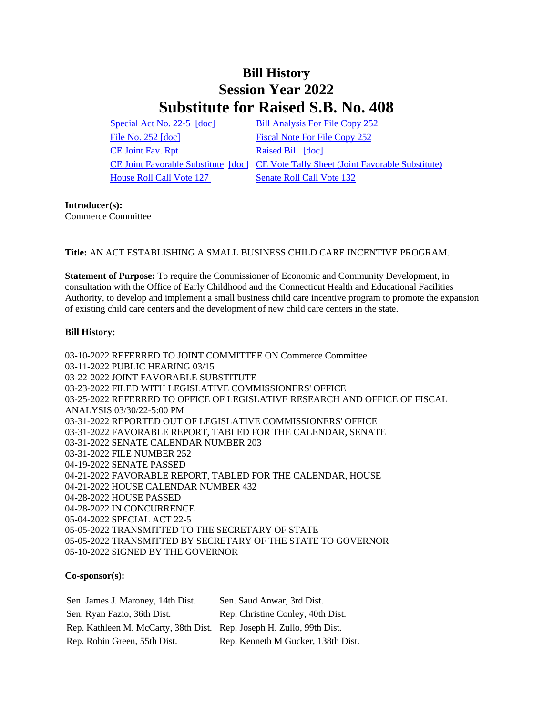## **Bill History Session Year 2022 Substitute for Raised S.B. No. 408**

[Special Act No. 22-5](/2022/ACT/SA/PDF/2022SA-00005-R00SB-00408-SA.PDF) [\[doc\]](https://search.cga.state.ct.us/dl2022/SA/DOC/2022SA-00005-R00SB-00408-SA.DOCX) [Bill Analysis For File Copy 252](/2022/BA/PDF/2022SB-00408-R000252-BA.PDF) [File No. 252](/2022/FC/PDF/2022SB-00408-R000252-FC.PDF) [\[doc\]](https://search.cga.state.ct.us/dl2022/fc/doc/2022SB-00408-R000252-FC.docx) [Fiscal Note For File Copy 252](/2022/FN/PDF/2022SB-00408-R000252-FN.PDF) [CE Joint Fav. Rpt](/2022/JFR/S/PDF/2022SB-00408-R00CE-JFR.PDF) [Raised Bill](/2022/TOB/S/PDF/2022SB-00408-R00-SB.PDF) [\[doc\]](https://search.cga.state.ct.us/dl2022/TOB/DOC/2022SB-00408-R00-SB.DOCX) [House Roll Call Vote 127](/2022/VOTE/H/PDF/2022HV-00127-R00SB00408-HV.PDF) [Senate Roll Call Vote 132](/2022/VOTE/S/PDF/2022SV-00132-R00SB00408-SV.PDF) 

[CE Joint Favorable Substitute](/2022/TOB/S/PDF/2022SB-00408-R01-SB.PDF) [\[doc\]](https://search.cga.state.ct.us/dl2022/TOB/DOC/2022SB-00408-R01-SB.DOCX) [CE Vote Tally Sheet \(Joint Favorable Substitute\)](/2022/TS/S/PDF/2022SB-00408-R00CE-CV57-TS.PDF)

## **Introducer(s):** Commerce Committee

**Title:** AN ACT ESTABLISHING A SMALL BUSINESS CHILD CARE INCENTIVE PROGRAM.

**Statement of Purpose:** To require the Commissioner of Economic and Community Development, in consultation with the Office of Early Childhood and the Connecticut Health and Educational Facilities Authority, to develop and implement a small business child care incentive program to promote the expansion of existing child care centers and the development of new child care centers in the state.

## **Bill History:**

03-10-2022 REFERRED TO JOINT COMMITTEE ON Commerce Committee 03-11-2022 PUBLIC HEARING 03/15 03-22-2022 JOINT FAVORABLE SUBSTITUTE 03-23-2022 FILED WITH LEGISLATIVE COMMISSIONERS' OFFICE 03-25-2022 REFERRED TO OFFICE OF LEGISLATIVE RESEARCH AND OFFICE OF FISCAL ANALYSIS 03/30/22-5:00 PM 03-31-2022 REPORTED OUT OF LEGISLATIVE COMMISSIONERS' OFFICE 03-31-2022 FAVORABLE REPORT, TABLED FOR THE CALENDAR, SENATE 03-31-2022 SENATE CALENDAR NUMBER 203 03-31-2022 FILE NUMBER 252 04-19-2022 SENATE PASSED 04-21-2022 FAVORABLE REPORT, TABLED FOR THE CALENDAR, HOUSE 04-21-2022 HOUSE CALENDAR NUMBER 432 04-28-2022 HOUSE PASSED 04-28-2022 IN CONCURRENCE 05-04-2022 SPECIAL ACT 22-5 05-05-2022 TRANSMITTED TO THE SECRETARY OF STATE 05-05-2022 TRANSMITTED BY SECRETARY OF THE STATE TO GOVERNOR 05-10-2022 SIGNED BY THE GOVERNOR

## **Co-sponsor(s):**

| Sen. James J. Maroney, 14th Dist.                                     | Sen. Saud Anwar, 3rd Dist.         |
|-----------------------------------------------------------------------|------------------------------------|
| Sen. Ryan Fazio, 36th Dist.                                           | Rep. Christine Conley, 40th Dist.  |
| Rep. Kathleen M. McCarty, 38th Dist. Rep. Joseph H. Zullo, 99th Dist. |                                    |
| Rep. Robin Green, 55th Dist.                                          | Rep. Kenneth M Gucker, 138th Dist. |